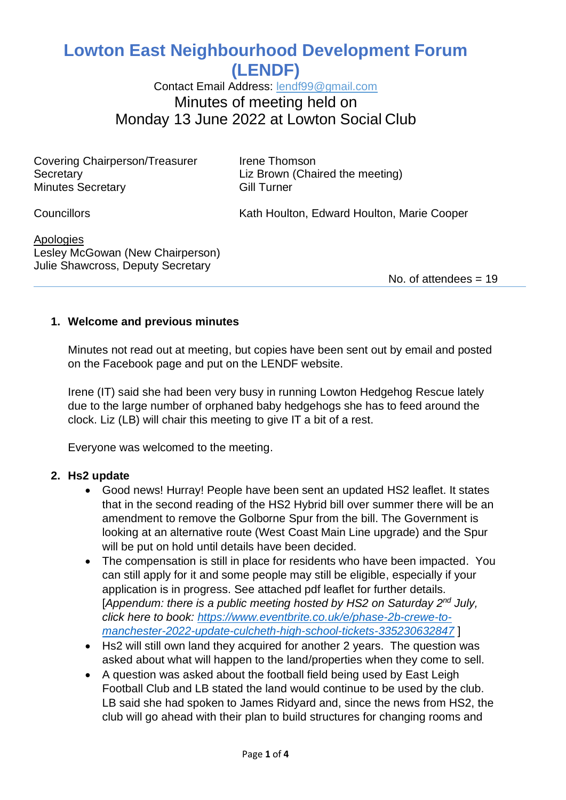# **Lowton East Neighbourhood Development Forum (LENDF)**

Contact Email Address: [lendf99@gmail.com](mailto:lendf99@gmail.com) Minutes of meeting held on Monday 13 June 2022 at Lowton Social Club

Covering Chairperson/Treasurer Irene Thomson Secretary **Example 2** Liz Brown (Chaired the meeting) Minutes Secretary **Gill Turner** 

Councillors **Councillors** Councillors **Kath Houlton, Edward Houlton, Marie Cooper** 

**Apologies** Lesley McGowan (New Chairperson) Julie Shawcross, Deputy Secretary

No. of attendees  $= 19$ 

#### **1. Welcome and previous minutes**

Minutes not read out at meeting, but copies have been sent out by email and posted on the Facebook page and put on the LENDF website.

Irene (IT) said she had been very busy in running Lowton Hedgehog Rescue lately due to the large number of orphaned baby hedgehogs she has to feed around the clock. Liz (LB) will chair this meeting to give IT a bit of a rest.

Everyone was welcomed to the meeting.

#### **2. Hs2 update**

- Good news! Hurray! People have been sent an updated HS2 leaflet. It states that in the second reading of the HS2 Hybrid bill over summer there will be an amendment to remove the Golborne Spur from the bill. The Government is looking at an alternative route (West Coast Main Line upgrade) and the Spur will be put on hold until details have been decided.
- The compensation is still in place for residents who have been impacted. You can still apply for it and some people may still be eligible, especially if your application is in progress. See attached pdf leaflet for further details. [Appendum: there is a public meeting hosted by HS2 on Saturday 2<sup>nd</sup> July, *click here to book: [https://www.eventbrite.co.uk/e/phase-2b-crewe-to](https://www.eventbrite.co.uk/e/phase-2b-crewe-to-manchester-2022-update-culcheth-high-school-tickets-335230632847)[manchester-2022-update-culcheth-high-school-tickets-335230632847](https://www.eventbrite.co.uk/e/phase-2b-crewe-to-manchester-2022-update-culcheth-high-school-tickets-335230632847)* ]
- Hs2 will still own land they acquired for another 2 years. The question was asked about what will happen to the land/properties when they come to sell.
- A question was asked about the football field being used by East Leigh Football Club and LB stated the land would continue to be used by the club. LB said she had spoken to James Ridyard and, since the news from HS2, the club will go ahead with their plan to build structures for changing rooms and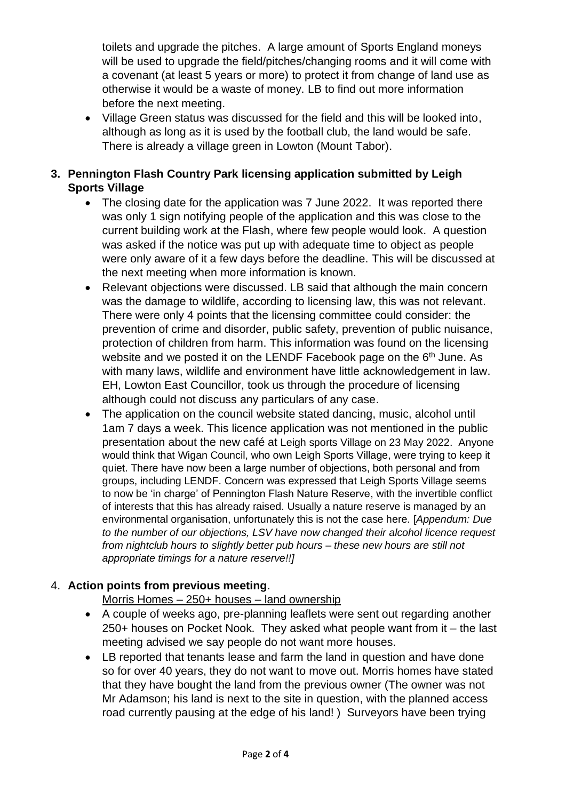toilets and upgrade the pitches. A large amount of Sports England moneys will be used to upgrade the field/pitches/changing rooms and it will come with a covenant (at least 5 years or more) to protect it from change of land use as otherwise it would be a waste of money. LB to find out more information before the next meeting.

• Village Green status was discussed for the field and this will be looked into, although as long as it is used by the football club, the land would be safe. There is already a village green in Lowton (Mount Tabor).

## **3. Pennington Flash Country Park licensing application submitted by Leigh Sports Village**

- The closing date for the application was 7 June 2022. It was reported there was only 1 sign notifying people of the application and this was close to the current building work at the Flash, where few people would look. A question was asked if the notice was put up with adequate time to object as people were only aware of it a few days before the deadline. This will be discussed at the next meeting when more information is known.
- Relevant objections were discussed. LB said that although the main concern was the damage to wildlife, according to licensing law, this was not relevant. There were only 4 points that the licensing committee could consider: the prevention of crime and disorder, public safety, prevention of public nuisance, protection of children from harm. This information was found on the licensing website and we posted it on the LENDF Facebook page on the 6<sup>th</sup> June. As with many laws, wildlife and environment have little acknowledgement in law. EH, Lowton East Councillor, took us through the procedure of licensing although could not discuss any particulars of any case.
- The application on the council website stated dancing, music, alcohol until 1am 7 days a week. This licence application was not mentioned in the public presentation about the new café at Leigh sports Village on 23 May 2022. Anyone would think that Wigan Council, who own Leigh Sports Village, were trying to keep it quiet. There have now been a large number of objections, both personal and from groups, including LENDF. Concern was expressed that Leigh Sports Village seems to now be 'in charge' of Pennington Flash Nature Reserve, with the invertible conflict of interests that this has already raised. Usually a nature reserve is managed by an environmental organisation, unfortunately this is not the case here. [*Appendum: Due to the number of our objections, LSV have now changed their alcohol licence request from nightclub hours to slightly better pub hours – these new hours are still not appropriate timings for a nature reserve!!]*

#### 4. **Action points from previous meeting**.

Morris Homes – 250+ houses – land ownership

- A couple of weeks ago, pre-planning leaflets were sent out regarding another 250+ houses on Pocket Nook. They asked what people want from it – the last meeting advised we say people do not want more houses.
- LB reported that tenants lease and farm the land in question and have done so for over 40 years, they do not want to move out. Morris homes have stated that they have bought the land from the previous owner (The owner was not Mr Adamson; his land is next to the site in question, with the planned access road currently pausing at the edge of his land! ) Surveyors have been trying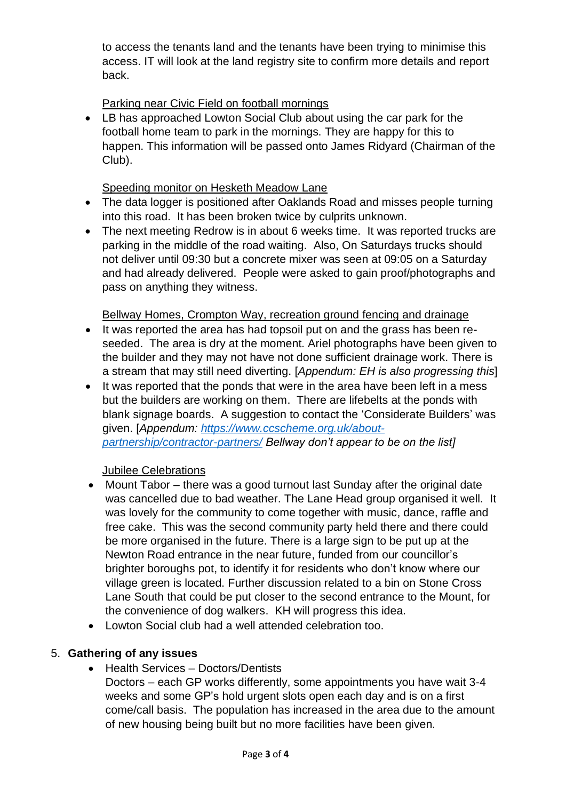to access the tenants land and the tenants have been trying to minimise this access. IT will look at the land registry site to confirm more details and report back.

## Parking near Civic Field on football mornings

• LB has approached Lowton Social Club about using the car park for the football home team to park in the mornings. They are happy for this to happen. This information will be passed onto James Ridyard (Chairman of the Club).

#### Speeding monitor on Hesketh Meadow Lane

- The data logger is positioned after Oaklands Road and misses people turning into this road. It has been broken twice by culprits unknown.
- The next meeting Redrow is in about 6 weeks time. It was reported trucks are parking in the middle of the road waiting. Also, On Saturdays trucks should not deliver until 09:30 but a concrete mixer was seen at 09:05 on a Saturday and had already delivered. People were asked to gain proof/photographs and pass on anything they witness.

Bellway Homes, Crompton Way, recreation ground fencing and drainage

- It was reported the area has had topsoil put on and the grass has been reseeded. The area is dry at the moment. Ariel photographs have been given to the builder and they may not have not done sufficient drainage work. There is a stream that may still need diverting. [*Appendum: EH is also progressing this*]
- It was reported that the ponds that were in the area have been left in a mess but the builders are working on them. There are lifebelts at the ponds with blank signage boards. A suggestion to contact the 'Considerate Builders' was given. [*Appendum: [https://www.ccscheme.org.uk/about](https://www.ccscheme.org.uk/about-partnership/contractor-partners/)[partnership/contractor-partners/](https://www.ccscheme.org.uk/about-partnership/contractor-partners/) Bellway don't appear to be on the list]*

#### Jubilee Celebrations

- Mount Tabor there was a good turnout last Sunday after the original date was cancelled due to bad weather. The Lane Head group organised it well. It was lovely for the community to come together with music, dance, raffle and free cake. This was the second community party held there and there could be more organised in the future. There is a large sign to be put up at the Newton Road entrance in the near future, funded from our councillor's brighter boroughs pot, to identify it for residents who don't know where our village green is located. Further discussion related to a bin on Stone Cross Lane South that could be put closer to the second entrance to the Mount, for the convenience of dog walkers. KH will progress this idea.
- Lowton Social club had a well attended celebration too.

#### 5. **Gathering of any issues**

- Health Services Doctors/Dentists
	- Doctors each GP works differently, some appointments you have wait 3-4 weeks and some GP's hold urgent slots open each day and is on a first come/call basis. The population has increased in the area due to the amount of new housing being built but no more facilities have been given.